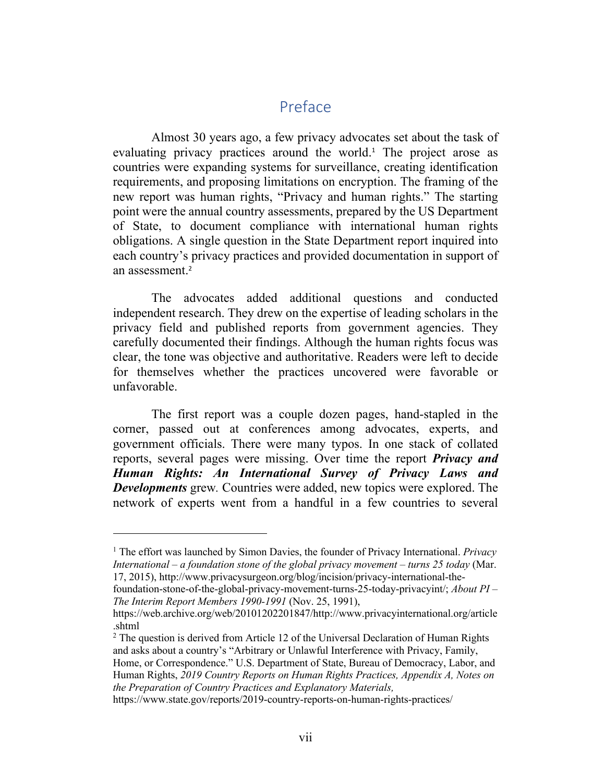# Preface

Almost 30 years ago, a few privacy advocates set about the task of evaluating privacy practices around the world.<sup>1</sup> The project arose as countries were expanding systems for surveillance, creating identification requirements, and proposing limitations on encryption. The framing of the new report was human rights, "Privacy and human rights." The starting point were the annual country assessments, prepared by the US Department of State, to document compliance with international human rights obligations. A single question in the State Department report inquired into each country's privacy practices and provided documentation in support of an assessment.<sup>2</sup>

The advocates added additional questions and conducted independent research. They drew on the expertise of leading scholars in the privacy field and published reports from government agencies. They carefully documented their findings. Although the human rights focus was clear, the tone was objective and authoritative. Readers were left to decide for themselves whether the practices uncovered were favorable or unfavorable.

The first report was a couple dozen pages, hand-stapled in the corner, passed out at conferences among advocates, experts, and government officials. There were many typos. In one stack of collated reports, several pages were missing. Over time the report *Privacy and Human Rights: An International Survey of Privacy Laws and Developments* grew*.* Countries were added, new topics were explored. The network of experts went from a handful in a few countries to several

<sup>1</sup> The effort was launched by Simon Davies, the founder of Privacy International. *Privacy International – a foundation stone of the global privacy movement – turns 25 today* (Mar. 17, 2015), http://www.privacysurgeon.org/blog/incision/privacy-international-the-

foundation-stone-of-the-global-privacy-movement-turns-25-today-privacyint/; *About PI – The Interim Report Members 1990-1991* (Nov. 25, 1991),

https://web.archive.org/web/20101202201847/http://www.privacyinternational.org/article .shtml

<sup>&</sup>lt;sup>2</sup> The question is derived from Article 12 of the Universal Declaration of Human Rights and asks about a country's "Arbitrary or Unlawful Interference with Privacy, Family,

Home, or Correspondence." U.S. Department of State, Bureau of Democracy, Labor, and Human Rights, *2019 Country Reports on Human Rights Practices, Appendix A, Notes on the Preparation of Country Practices and Explanatory Materials,* 

https://www.state.gov/reports/2019-country-reports-on-human-rights-practices/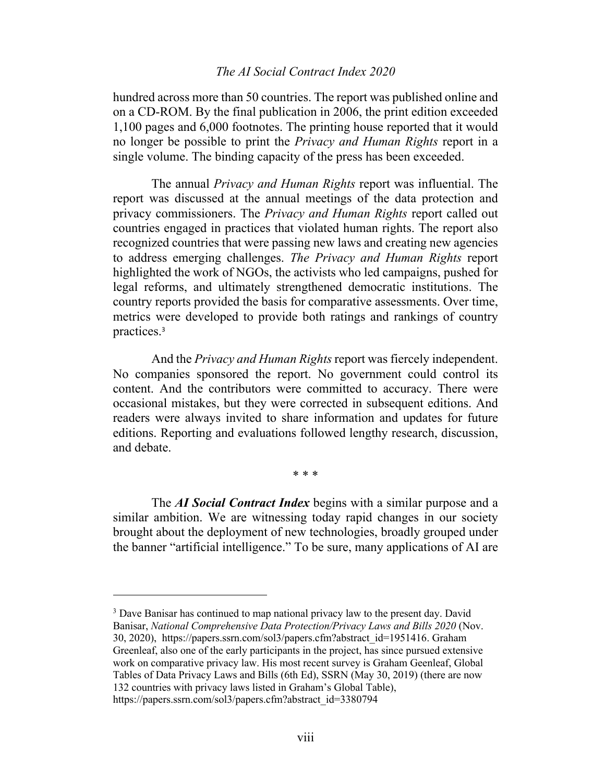#### *The AI Social Contract Index 2020*

hundred across more than 50 countries. The report was published online and on a CD-ROM. By the final publication in 2006, the print edition exceeded 1,100 pages and 6,000 footnotes. The printing house reported that it would no longer be possible to print the *Privacy and Human Rights* report in a single volume. The binding capacity of the press has been exceeded.

The annual *Privacy and Human Rights* report was influential. The report was discussed at the annual meetings of the data protection and privacy commissioners. The *Privacy and Human Rights* report called out countries engaged in practices that violated human rights. The report also recognized countries that were passing new laws and creating new agencies to address emerging challenges. *The Privacy and Human Rights* report highlighted the work of NGOs, the activists who led campaigns, pushed for legal reforms, and ultimately strengthened democratic institutions. The country reports provided the basis for comparative assessments. Over time, metrics were developed to provide both ratings and rankings of country practices.<sup>3</sup>

And the *Privacy and Human Rights* report was fiercely independent. No companies sponsored the report. No government could control its content. And the contributors were committed to accuracy. There were occasional mistakes, but they were corrected in subsequent editions. And readers were always invited to share information and updates for future editions. Reporting and evaluations followed lengthy research, discussion, and debate.

\* \* \*

The *AI Social Contract Index* begins with a similar purpose and a similar ambition. We are witnessing today rapid changes in our society brought about the deployment of new technologies, broadly grouped under the banner "artificial intelligence." To be sure, many applications of AI are

<sup>3</sup> Dave Banisar has continued to map national privacy law to the present day. David Banisar, *National Comprehensive Data Protection/Privacy Laws and Bills 2020* (Nov. 30, 2020), https://papers.ssrn.com/sol3/papers.cfm?abstract\_id=1951416. Graham

Greenleaf, also one of the early participants in the project, has since pursued extensive work on comparative privacy law. His most recent survey is Graham Geenleaf, Global Tables of Data Privacy Laws and Bills (6th Ed), SSRN (May 30, 2019) (there are now 132 countries with privacy laws listed in Graham's Global Table),

https://papers.ssrn.com/sol3/papers.cfm?abstract\_id=3380794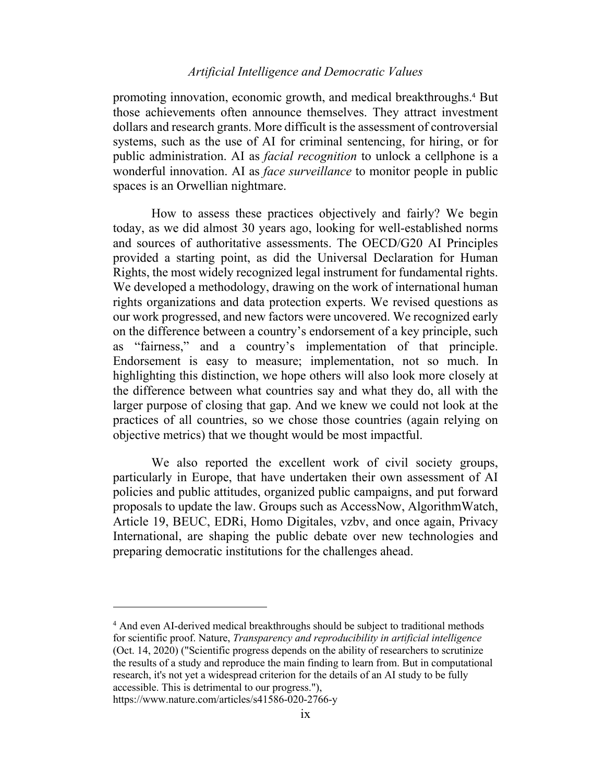## *Artificial Intelligence and Democratic Values*

promoting innovation, economic growth, and medical breakthroughs. <sup>4</sup> But those achievements often announce themselves. They attract investment dollars and research grants. More difficult is the assessment of controversial systems, such as the use of AI for criminal sentencing, for hiring, or for public administration. AI as *facial recognition* to unlock a cellphone is a wonderful innovation. AI as *face surveillance* to monitor people in public spaces is an Orwellian nightmare.

How to assess these practices objectively and fairly? We begin today, as we did almost 30 years ago, looking for well-established norms and sources of authoritative assessments. The OECD/G20 AI Principles provided a starting point, as did the Universal Declaration for Human Rights, the most widely recognized legal instrument for fundamental rights. We developed a methodology, drawing on the work of international human rights organizations and data protection experts. We revised questions as our work progressed, and new factors were uncovered. We recognized early on the difference between a country's endorsement of a key principle, such as "fairness," and a country's implementation of that principle. Endorsement is easy to measure; implementation, not so much. In highlighting this distinction, we hope others will also look more closely at the difference between what countries say and what they do, all with the larger purpose of closing that gap. And we knew we could not look at the practices of all countries, so we chose those countries (again relying on objective metrics) that we thought would be most impactful.

We also reported the excellent work of civil society groups, particularly in Europe, that have undertaken their own assessment of AI policies and public attitudes, organized public campaigns, and put forward proposals to update the law. Groups such as AccessNow, AlgorithmWatch, Article 19, BEUC, EDRi, Homo Digitales, vzbv, and once again, Privacy International, are shaping the public debate over new technologies and preparing democratic institutions for the challenges ahead.

<sup>4</sup> And even AI-derived medical breakthroughs should be subject to traditional methods for scientific proof. Nature, *Transparency and reproducibility in artificial intelligence* (Oct. 14, 2020) ("Scientific progress depends on the ability of researchers to scrutinize the results of a study and reproduce the main finding to learn from. But in computational research, it's not yet a widespread criterion for the details of an AI study to be fully accessible. This is detrimental to our progress."),

https://www.nature.com/articles/s41586-020-2766-y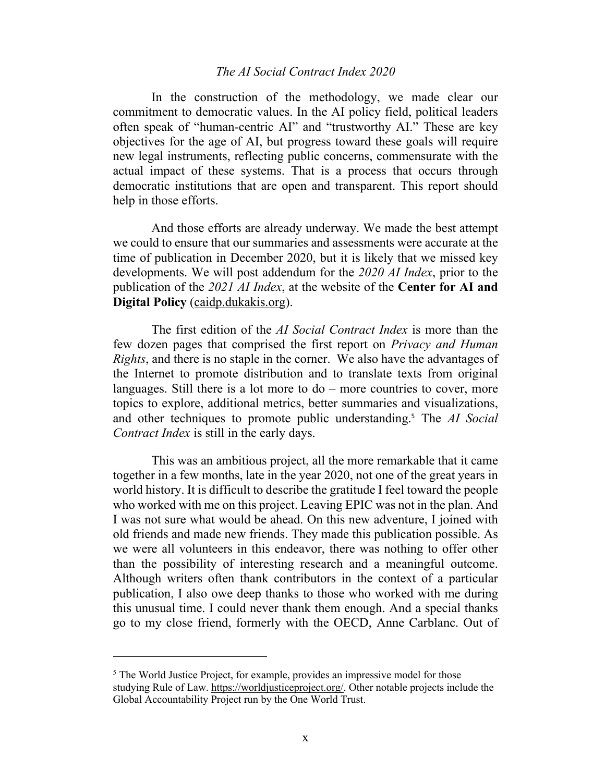#### *The AI Social Contract Index 2020*

In the construction of the methodology, we made clear our commitment to democratic values. In the AI policy field, political leaders often speak of "human-centric AI" and "trustworthy AI." These are key objectives for the age of AI, but progress toward these goals will require new legal instruments, reflecting public concerns, commensurate with the actual impact of these systems. That is a process that occurs through democratic institutions that are open and transparent. This report should help in those efforts.

And those efforts are already underway. We made the best attempt we could to ensure that our summaries and assessments were accurate at the time of publication in December 2020, but it is likely that we missed key developments. We will post addendum for the *2020 AI Index*, prior to the publication of the *2021 AI Index*, at the website of the **Center for AI and Digital Policy** (caidp.dukakis.org).

The first edition of the *AI Social Contract Index* is more than the few dozen pages that comprised the first report on *Privacy and Human Rights*, and there is no staple in the corner. We also have the advantages of the Internet to promote distribution and to translate texts from original languages. Still there is a lot more to do – more countries to cover, more topics to explore, additional metrics, better summaries and visualizations, and other techniques to promote public understanding.<sup>5</sup> The *AI Social Contract Index* is still in the early days.

This was an ambitious project, all the more remarkable that it came together in a few months, late in the year 2020, not one of the great years in world history. It is difficult to describe the gratitude I feel toward the people who worked with me on this project. Leaving EPIC was not in the plan. And I was not sure what would be ahead. On this new adventure, I joined with old friends and made new friends. They made this publication possible. As we were all volunteers in this endeavor, there was nothing to offer other than the possibility of interesting research and a meaningful outcome. Although writers often thank contributors in the context of a particular publication, I also owe deep thanks to those who worked with me during this unusual time. I could never thank them enough. And a special thanks go to my close friend, formerly with the OECD, Anne Carblanc. Out of

<sup>&</sup>lt;sup>5</sup> The World Justice Project, for example, provides an impressive model for those studying Rule of Law. https://worldjusticeproject.org/. Other notable projects include the Global Accountability Project run by the One World Trust.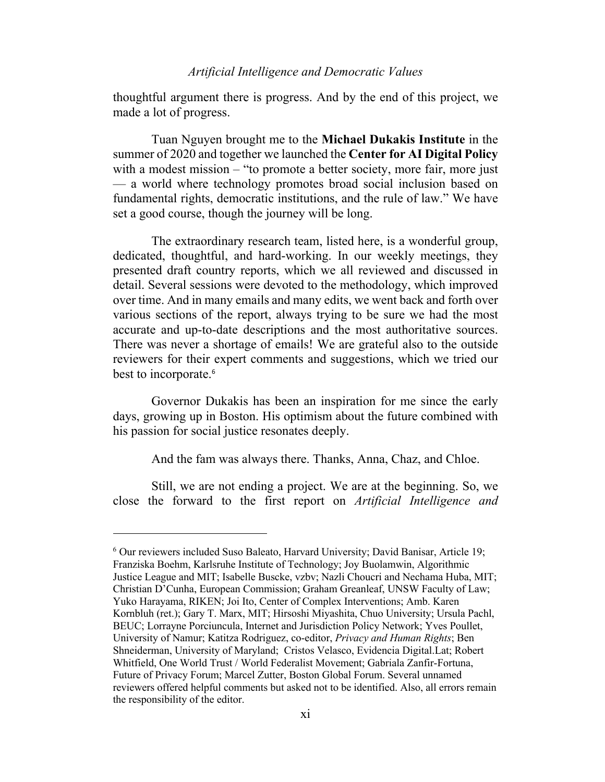## *Artificial Intelligence and Democratic Values*

thoughtful argument there is progress. And by the end of this project, we made a lot of progress.

Tuan Nguyen brought me to the **Michael Dukakis Institute** in the summer of 2020 and together we launched the **Center for AI Digital Policy** with a modest mission – "to promote a better society, more fair, more just — a world where technology promotes broad social inclusion based on fundamental rights, democratic institutions, and the rule of law." We have set a good course, though the journey will be long.

The extraordinary research team, listed here, is a wonderful group, dedicated, thoughtful, and hard-working. In our weekly meetings, they presented draft country reports, which we all reviewed and discussed in detail. Several sessions were devoted to the methodology, which improved over time. And in many emails and many edits, we went back and forth over various sections of the report, always trying to be sure we had the most accurate and up-to-date descriptions and the most authoritative sources. There was never a shortage of emails! We are grateful also to the outside reviewers for their expert comments and suggestions, which we tried our best to incorporate.<sup>6</sup>

Governor Dukakis has been an inspiration for me since the early days, growing up in Boston. His optimism about the future combined with his passion for social justice resonates deeply.

And the fam was always there. Thanks, Anna, Chaz, and Chloe.

Still, we are not ending a project. We are at the beginning. So, we close the forward to the first report on *Artificial Intelligence and* 

 $6$  Our reviewers included Suso Baleato, Harvard University; David Banisar, Article 19; Franziska Boehm, Karlsruhe Institute of Technology; Joy Buolamwin, Algorithmic Justice League and MIT; Isabelle Buscke, vzbv; Nazli Choucri and Nechama Huba, MIT; Christian D'Cunha, European Commission; Graham Greanleaf, UNSW Faculty of Law; Yuko Harayama, RIKEN; Joi Ito, Center of Complex Interventions; Amb. Karen Kornbluh (ret.); Gary T. Marx, MIT; Hirsoshi Miyashita, Chuo University; Ursula Pachl, BEUC; Lorrayne Porciuncula, Internet and Jurisdiction Policy Network; Yves Poullet, University of Namur; Katitza Rodriguez, co-editor, *Privacy and Human Rights*; Ben Shneiderman, University of Maryland; Cristos Velasco, Evidencia Digital.Lat; Robert Whitfield, One World Trust / World Federalist Movement; Gabriala Zanfir-Fortuna, Future of Privacy Forum; Marcel Zutter, Boston Global Forum. Several unnamed reviewers offered helpful comments but asked not to be identified. Also, all errors remain the responsibility of the editor.